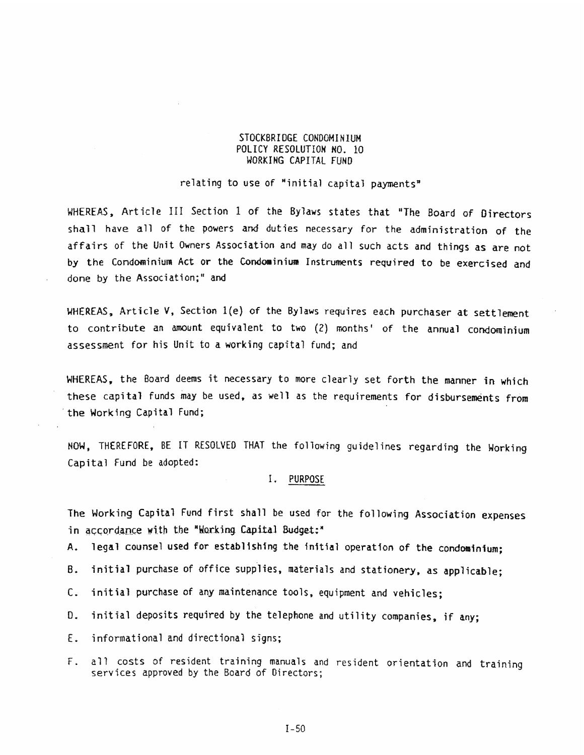#### STOCKBRIDGE CONDOMINIUM POLICY RESOLUTION NO. 10 WORKING CAPITAL FUND STOCKBRIDGE CONDOMINIUM<br>POLICY RESOLUTION NO. 10<br>WORKING CAPITAL FUND

# relating to use of "initial capital payments"

WHEREAS, Article III Section <sup>1</sup> of the Bylaws states that "The Board of Directors shall have all of the powers and duties necessary for the administration of the affairs of the Unit Owners Association and may do all such acts and things as are not by the Condominium Act or the Condominium Instruments required to be exercised and done by the Association;" and WHEREAS, Article III Section 1 of the Bylaws states that "The Board of Directors<br>thall have all of the powers and dottes recessary for the dominatration of the<br>affairs of the Unit Owners Association and may do all such act

WHEREAS, Article V, Section 1(e) of the Bylaws requires each purchaser at settlement to contribute an amount equivalent to two (2) months' of the annual condominium assessment for his Unit to <sup>a</sup> working capital fund; and

WHEREAS, the Board deems it necessary to more clearly set forth the manner in which these capital funds may be used, as we'll as the requirements for disbursements from the Working Capital Fund;

NOW, THEREFORE, BE IT RESOLVED THAT the following guidelines regarding the Working Capital Fund be adopted:

### I. PURPOSE

The Working Capital Fund first shall be used for the following Association expenses in accordance with the "Working Capital Budget:"

A. legal counsel used for establishing the initial operation of the condominium:

B. initial purchase of office supplies, materials and stationery, as applicable:

C. initial purchase of any maintenance tools, equipment and vehicles;

D. initial deposits required by the telephone and utility companies, if any:

E. informational and directional signs;

F. all costs of resident training manuals and resident orientation and training services approved by the Board of Directors;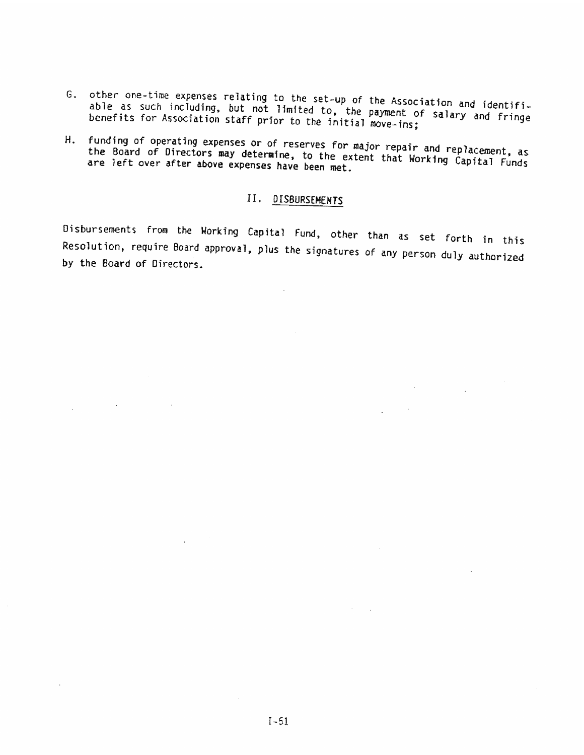- G. other one-time expenses relating to the set-up of the Association and identifias such including, but not limited to, the nayment of salamy and identifibenefits for Association staff prior to the initial move-ins; ing to the set-up of the Association and identifi-<br>not limited to, the payment of salary and fringe<br>prior to the initial move-ins;
- H. funding of operating expenses or of reserves for major repair and replacement, as are left over after above expenses have been met. the Board of Directors may determine, to the extent that Working Capital Funds

## II. DISBURSEMENTS

Disbursements from the Working Capital Fund, other than as set forth in this<br>Resolution, require Board approval, plus the signatures of any person duly authorized<br>by the Board of Directors. 5. other ora-time expension relating to the stat-up of the Association and identifies<br>the as such including, but not limited to, the purements' and relage<br>in the function staff prior to the initial more into a labor and re